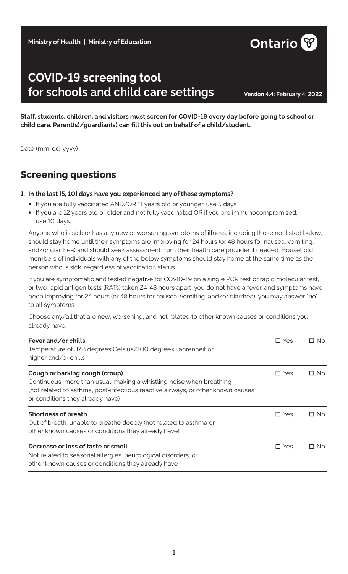#### **Ministry of Health | Ministry of Education**

# **COVID-19 screening tool for schools and child care settings Version 4.4: February 4, 2022**

**Staff, students, children, and visitors must screen for COVID-19 every day before going to school or child care. Parent(s)/guardian(s) can fill this out on behalf of a child/student..**

Date (mm-dd-yyyy)

### **Screening questions**

#### **1. In the last [5, 10] days have you experienced any of these symptoms?**

- **•** If you are fully vaccinated AND/OR 11 years old or younger, use 5 days
- **•** If you are 12 years old or older and not fully vaccinated OR if you are immunocompromised, use 10 days.

Anyone who is sick or has any new or worsening symptoms of illness, including those not listed below, should stay home until their symptoms are improving for 24 hours (or 48 hours for nausea, vomiting, and/or diarrhea) and should seek assessment from their health care provider if needed. Household members of individuals with any of the below symptoms should stay home at the same time as the person who is sick, regardless of vaccination status.

If you are symptomatic and tested negative for COVID-19 on a single PCR test or rapid molecular test, or two rapid antigen tests (RATs) taken 24-48 hours apart, you do not have a fever, and symptoms have been improving for 24 hours (or 48 hours for nausea, vomiting, and/or diarrhea), you may answer "no" to all symptoms.

Choose any/all that are new, worsening, and not related to other known causes or conditions you already have.

| Fever and/or chills<br>Temperature of 37.8 degrees Celsius/100 degrees Fahrenheit or<br>higher and/or chills                                                                                                                  | $\Box$ Yes | $\Box$ No |
|-------------------------------------------------------------------------------------------------------------------------------------------------------------------------------------------------------------------------------|------------|-----------|
| Cough or barking cough (croup)<br>Continuous, more than usual, making a whistling noise when breathing<br>(not related to asthma, post-infectious reactive airways, or other known causes<br>or conditions they already have) | $\Box$ Yes | $\Box$ No |
| <b>Shortness of breath</b><br>Out of breath, unable to breathe deeply (not related to asthma or<br>other known causes or conditions they already have)                                                                        | $\Box$ Yes | $\Box$ No |
| Decrease or loss of taste or smell<br>Not related to seasonal allergies, neurological disorders, or<br>other known causes or conditions they already have                                                                     | $\Box$ Yes | □ No      |

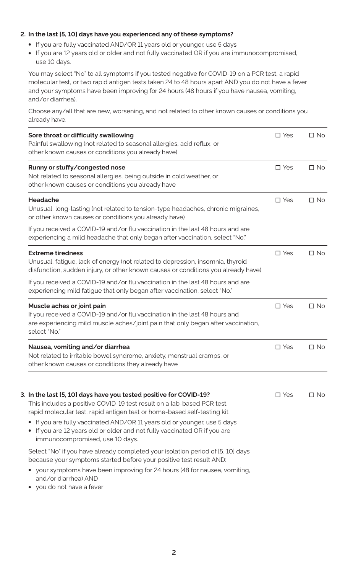#### **2. In the last [5, 10] days have you experienced any of these symptoms?**

- **•** If you are fully vaccinated AND/OR 11 years old or younger, use 5 days
- **•** If you are 12 years old or older and not fully vaccinated OR if you are immunocompromised, use 10 days.

You may select "No" to all symptoms if you tested negative for COVID-19 on a PCR test, a rapid molecular test, or two rapid antigen tests taken 24 to 48 hours apart AND you do not have a fever and your symptoms have been improving for 24 hours (48 hours if you have nausea, vomiting, and/or diarrhea).

Choose any/all that are new, worsening, and not related to other known causes or conditions you already have.

| Sore throat or difficulty swallowing<br>Painful swallowing (not related to seasonal allergies, acid reflux, or<br>other known causes or conditions you already have)                                                                                                                                                                                                                                             | $\square$ Yes | $\Box$ No    |
|------------------------------------------------------------------------------------------------------------------------------------------------------------------------------------------------------------------------------------------------------------------------------------------------------------------------------------------------------------------------------------------------------------------|---------------|--------------|
| Runny or stuffy/congested nose<br>Not related to seasonal allergies, being outside in cold weather, or<br>other known causes or conditions you already have                                                                                                                                                                                                                                                      | $\square$ Yes | $\Box$ No    |
| <b>Headache</b><br>Unusual, long-lasting (not related to tension-type headaches, chronic migraines,<br>or other known causes or conditions you already have)                                                                                                                                                                                                                                                     | $\square$ Yes | $\square$ No |
| If you received a COVID-19 and/or flu vaccination in the last 48 hours and are<br>experiencing a mild headache that only began after vaccination, select "No."                                                                                                                                                                                                                                                   |               |              |
| <b>Extreme tiredness</b><br>Unusual, fatigue, lack of energy (not related to depression, insomnia, thyroid<br>disfunction, sudden injury, or other known causes or conditions you already have)                                                                                                                                                                                                                  | $\square$ Yes | $\Box$ No    |
| If you received a COVID-19 and/or flu vaccination in the last 48 hours and are<br>experiencing mild fatigue that only began after vaccination, select "No."                                                                                                                                                                                                                                                      |               |              |
| Muscle aches or joint pain<br>If you received a COVID-19 and/or flu vaccination in the last 48 hours and<br>are experiencing mild muscle aches/joint pain that only began after vaccination,<br>select "No."                                                                                                                                                                                                     | $\square$ Yes | $\Box$ No    |
| Nausea, vomiting and/or diarrhea<br>Not related to irritable bowel syndrome, anxiety, menstrual cramps, or<br>other known causes or conditions they already have                                                                                                                                                                                                                                                 | $\square$ Yes | $\Box$ No    |
| 3. In the last [5, 10] days have you tested positive for COVID-19?<br>This includes a positive COVID-19 test result on a lab-based PCR test,<br>rapid molecular test, rapid antigen test or home-based self-testing kit.<br>If you are fully vaccinated AND/OR 11 years old or younger, use 5 days<br>If you are 12 years old or older and not fully vaccinated OR if you are<br>immunocompromised, use 10 days. | $\Box$ Yes    | $\Box$ No    |
| Select "No" if you have already completed your isolation period of [5, 10] days<br>because your symptoms started before your positive test result AND:<br>your symptoms have been improving for 24 hours (48 for nausea, vomiting,<br>and/or diarrhea) AND<br>• you do not have a fever                                                                                                                          |               |              |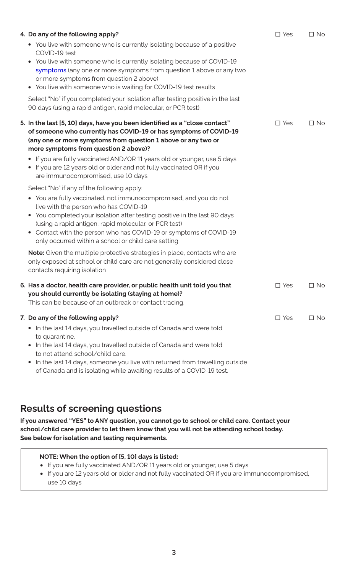| 4. Do any of the following apply?<br>You live with someone who is currently isolating because of a positive<br>$\bullet$                                                                                                                                                                                                                                                                  | $\square$ Yes | $\Box$ No |
|-------------------------------------------------------------------------------------------------------------------------------------------------------------------------------------------------------------------------------------------------------------------------------------------------------------------------------------------------------------------------------------------|---------------|-----------|
| COVID-19 test<br>• You live with someone who is currently isolating because of COVID-19<br>symptoms (any one or more symptoms from question 1 above or any two<br>or more symptoms from question 2 above)<br>• You live with someone who is waiting for COVID-19 test results                                                                                                             |               |           |
| Select "No" if you completed your isolation after testing positive in the last<br>90 days (using a rapid antigen, rapid molecular, or PCR test).                                                                                                                                                                                                                                          |               |           |
| 5. In the last [5, 10] days, have you been identified as a "close contact"<br>of someone who currently has COVID-19 or has symptoms of COVID-19<br>(any one or more symptoms from question 1 above or any two or<br>more symptoms from question 2 above)?                                                                                                                                 | $\square$ Yes | $\Box$ No |
| If you are fully vaccinated AND/OR 11 years old or younger, use 5 days<br>• If you are 12 years old or older and not fully vaccinated OR if you<br>are immunocompromised, use 10 days                                                                                                                                                                                                     |               |           |
| Select "No" if any of the following apply:                                                                                                                                                                                                                                                                                                                                                |               |           |
| • You are fully vaccinated, not immunocompromised, and you do not<br>live with the person who has COVID-19<br>You completed your isolation after testing positive in the last 90 days<br>$\bullet$<br>(using a rapid antigen, rapid molecular, or PCR test)<br>• Contact with the person who has COVID-19 or symptoms of COVID-19<br>only occurred within a school or child care setting. |               |           |
| Note: Given the multiple protective strategies in place, contacts who are<br>only exposed at school or child care are not generally considered close<br>contacts requiring isolation                                                                                                                                                                                                      |               |           |
| 6. Has a doctor, health care provider, or public health unit told you that<br>you should currently be isolating (staying at home)?<br>This can be because of an outbreak or contact tracing.                                                                                                                                                                                              | $\square$ Yes | $\Box$ No |
| 7. Do any of the following apply?                                                                                                                                                                                                                                                                                                                                                         | $\square$ Yes | $\Box$ No |
| In the last 14 days, you travelled outside of Canada and were told<br>$\bullet$<br>to quarantine.<br>In the last 14 days, you travelled outside of Canada and were told<br>$\bullet$<br>to not attend school/child care.                                                                                                                                                                  |               |           |
| In the last 14 days, someone you live with returned from travelling outside<br>$\bullet$<br>of Canada and is isolating while awaiting results of a COVID-19 test.                                                                                                                                                                                                                         |               |           |

## **Results of screening questions**

**If you answered "YES" to ANY question, you cannot go to school or child care. Contact your school/child care provider to let them know that you will not be attending school today. See below for isolation and testing requirements.** 

### **NOTE: When the option of [5, 10] days is listed:**

- **•** If you are fully vaccinated AND/OR 11 years old or younger, use 5 days
- **•** If you are 12 years old or older and not fully vaccinated OR if you are immunocompromised, use 10 days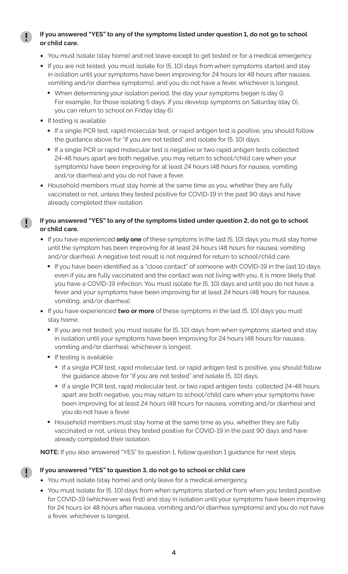#### **If you answered "YES" to any of the symptoms listed under question 1, do not go to school or child care.**

- **•** You must isolate (stay home) and not leave except to get tested or for a medical emergency.
- **•** If you are not tested, you must isolate for [5, 10] days from when symptoms started and stay in isolation until your symptoms have been improving for 24 hours (or 48 hours after nausea, vomiting and/or diarrhea symptoms), and you do not have a fever, whichever is longest.
	- When determining your isolation period, the day your symptoms began is day 0. For example, for those isolating 5 days, if you develop symptoms on Saturday (day 0), you can return to school on Friday (day 6).
- **•** If testing is available:
	- If a single PCR test, rapid molecular test, or rapid antigen test is positive, you should follow
	- the guidance above for "if you are not tested" and isolate for [5, 10] days.<br>■ If a single PCR or rapid molecular test is negative or two rapid antigen tests collected 24-48 hours apart are both negative, you may return to school/child care when your symptom(s) have been improving for at least 24 hours (48 hours for nausea, vomiting and/or diarrhea) and you do not have a fever.
- **•** Household members must stay home at the same time as you, whether they are fully vaccinated or not, unless they tested positive for COVID-19 in the past 90 days and have already completed their isolation.

#### **If you answered "YES" to any of the symptoms listed under question 2, do not go to school or child care.**

- **•** If you have experienced **only one** of these symptoms in the last [5, 10] days you must stay home until the symptom has been improving for at least 24 hours (48 hours for nausea, vomiting and/or diarrhea). A negative test result is not required for return to school/child care.
	- If you have been identified as a "close contact" of someone with COVID-19 in the last 10 days, even if you are fully vaccinated and the contact was not living with you, it is more likely that you have a COVID-19 infection. You must isolate for [5, 10] days and until you do not have a fever and your symptoms have been improving for at least 24 hours (48 hours for nausea, vomiting, and/or diarrhea).
- **•** If you have experienced **two or more** of these symptoms in the last [5, 10] days you must stay home.
	- If you are not tested, you must isolate for [5, 10] days from when symptoms started and stay in isolation until your symptoms have been improving for 24 hours (48 hours for nausea, vomiting and/or diarrhea), whichever is longest.<br>■ If testing is available:
	- - **\*** If a single PCR test, rapid molecular test, or rapid antigen test is positive, you should follow the guidance above for "if you are not tested" and isolate [5, 10] days.
	- **\*** If a single PCR test, rapid molecular test, or two rapid antigen tests collected 24-48 hours apart are both negative, you may return to school/child care when your symptoms have been improving for at least 24 hours (48 hours for nausea, vomiting and/or diarrhea) and you do not have a fever.<br>■ Household members must stay home at the same time as you, whether they are fully
	- vaccinated or not, unless they tested positive for COVID-19 in the past 90 days and have already completed their isolation.

**NOTE:** If you also answered "YES" to question 1, follow question 1 guidance for next steps.

#### **If you answered "YES" to question 3, do not go to school or child care**

- **•** You must isolate (stay home) and only leave for a medical emergency.
- **•** You must isolate for [5, 10] days from when symptoms started or from when you tested positive for COVID-19 (whichever was first) and stay in isolation until your symptoms have been improving for 24 hours (or 48 hours after nausea, vomiting and/or diarrhea symptoms) and you do not have a fever, whichever is longest.